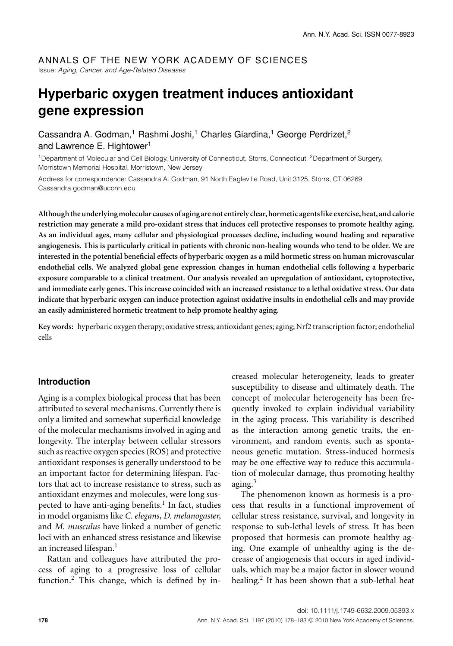ANNALS OF THE NEW YORK ACADEMY OF SCIENCES Issue: Aging, Cancer, and Age-Related Diseases

# **Hyperbaric oxygen treatment induces antioxidant gene expression**

Cassandra A. Godman,<sup>1</sup> Rashmi Joshi,<sup>1</sup> Charles Giardina,<sup>1</sup> George Perdrizet,<sup>2</sup> and Lawrence E. Hightower<sup>1</sup>

1Department of Molecular and Cell Biology, University of Connecticut, Storrs, Connecticut. 2Department of Surgery, Morristown Memorial Hospital, Morristown, New Jersey

Address for correspondence: Cassandra A. Godman, 91 North Eagleville Road, Unit 3125, Storrs, CT 06269. Cassandra.godman@uconn.edu

**Although the underlyingmolecular causes of aging are not entirely clear, hormetic agentslike exercise, heat, and calorie restriction may generate a mild pro-oxidant stress that induces cell protective responses to promote healthy aging. As an individual ages, many cellular and physiological processes decline, including wound healing and reparative angiogenesis. This is particularly critical in patients with chronic non-healing wounds who tend to be older. We are interested in the potential beneficial effects of hyperbaric oxygen as a mild hormetic stress on human microvascular endothelial cells. We analyzed global gene expression changes in human endothelial cells following a hyperbaric exposure comparable to a clinical treatment. Our analysis revealed an upregulation of antioxidant, cytoprotective, and immediate early genes. This increase coincided with an increased resistance to a lethal oxidative stress. Our data indicate that hyperbaric oxygen can induce protection against oxidative insults in endothelial cells and may provide an easily administered hormetic treatment to help promote healthy aging.**

**Key words:** hyperbaric oxygen therapy; oxidative stress; antioxidant genes; aging; Nrf2 transcription factor; endothelial cells

#### **Introduction**

Aging is a complex biological process that has been attributed to several mechanisms. Currently there is only a limited and somewhat superficial knowledge of the molecular mechanisms involved in aging and longevity. The interplay between cellular stressors such as reactive oxygen species (ROS) and protective antioxidant responses is generally understood to be an important factor for determining lifespan. Factors that act to increase resistance to stress, such as antioxidant enzymes and molecules, were long suspected to have anti-aging benefits.<sup>1</sup> In fact, studies in model organisms like *C. elegans*, *D. melanogaster,* and *M. musculus* have linked a number of genetic loci with an enhanced stress resistance and likewise an increased lifespan.<sup>1</sup>

Rattan and colleagues have attributed the process of aging to a progressive loss of cellular function.<sup>2</sup> This change, which is defined by increased molecular heterogeneity, leads to greater susceptibility to disease and ultimately death. The concept of molecular heterogeneity has been frequently invoked to explain individual variability in the aging process. This variability is described as the interaction among genetic traits, the environment, and random events, such as spontaneous genetic mutation. Stress-induced hormesis may be one effective way to reduce this accumulation of molecular damage, thus promoting healthy aging. $3$ 

The phenomenon known as hormesis is a process that results in a functional improvement of cellular stress resistance, survival, and longevity in response to sub-lethal levels of stress. It has been proposed that hormesis can promote healthy aging. One example of unhealthy aging is the decrease of angiogenesis that occurs in aged individuals, which may be a major factor in slower wound healing.<sup>2</sup> It has been shown that a sub-lethal heat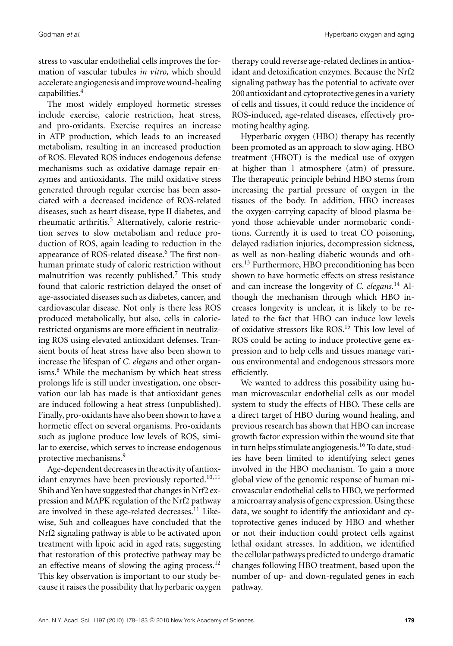stress to vascular endothelial cells improves the formation of vascular tubules *in vitro*, which should accelerate angiogenesis and improve wound-healing capabilities.<sup>4</sup>

The most widely employed hormetic stresses include exercise, calorie restriction, heat stress, and pro-oxidants. Exercise requires an increase in ATP production, which leads to an increased metabolism, resulting in an increased production of ROS. Elevated ROS induces endogenous defense mechanisms such as oxidative damage repair enzymes and antioxidants. The mild oxidative stress generated through regular exercise has been associated with a decreased incidence of ROS-related diseases, such as heart disease, type II diabetes, and rheumatic arthritis.<sup>5</sup> Alternatively, calorie restriction serves to slow metabolism and reduce production of ROS, again leading to reduction in the appearance of ROS-related disease.<sup>6</sup> The first nonhuman primate study of caloric restriction without malnutrition was recently published.<sup>7</sup> This study found that caloric restriction delayed the onset of age-associated diseases such as diabetes, cancer, and cardiovascular disease. Not only is there less ROS produced metabolically, but also, cells in calorierestricted organisms are more efficient in neutralizing ROS using elevated antioxidant defenses. Transient bouts of heat stress have also been shown to increase the lifespan of *C. elegans* and other organisms.<sup>8</sup> While the mechanism by which heat stress prolongs life is still under investigation, one observation our lab has made is that antioxidant genes are induced following a heat stress (unpublished). Finally, pro-oxidants have also been shown to have a hormetic effect on several organisms. Pro-oxidants such as juglone produce low levels of ROS, similar to exercise, which serves to increase endogenous protective mechanisms.<sup>9</sup>

Age-dependent decreases in the activity of antioxidant enzymes have been previously reported.<sup>10,11</sup> Shih and Yen have suggested that changes in Nrf2 expression and MAPK regulation of the Nrf2 pathway are involved in these age-related decreases.<sup>11</sup> Likewise, Suh and colleagues have concluded that the Nrf2 signaling pathway is able to be activated upon treatment with lipoic acid in aged rats, suggesting that restoration of this protective pathway may be an effective means of slowing the aging process. $^{12}$ This key observation is important to our study because it raises the possibility that hyperbaric oxygen therapy could reverse age-related declines in antioxidant and detoxification enzymes. Because the Nrf2 signaling pathway has the potential to activate over 200 antioxidant and cytoprotective genes in a variety of cells and tissues, it could reduce the incidence of ROS-induced, age-related diseases, effectively promoting healthy aging.

Hyperbaric oxygen (HBO) therapy has recently been promoted as an approach to slow aging. HBO treatment (HBOT) is the medical use of oxygen at higher than 1 atmosphere (atm) of pressure. The therapeutic principle behind HBO stems from increasing the partial pressure of oxygen in the tissues of the body. In addition, HBO increases the oxygen-carrying capacity of blood plasma beyond those achievable under normobaric conditions. Currently it is used to treat CO poisoning, delayed radiation injuries, decompression sickness, as well as non-healing diabetic wounds and others.13 Furthermore, HBO preconditioning has been shown to have hormetic effects on stress resistance and can increase the longevity of *C. elegans*. <sup>14</sup> Although the mechanism through which HBO increases longevity is unclear, it is likely to be related to the fact that HBO can induce low levels of oxidative stressors like ROS.<sup>15</sup> This low level of ROS could be acting to induce protective gene expression and to help cells and tissues manage various environmental and endogenous stressors more efficiently.

We wanted to address this possibility using human microvascular endothelial cells as our model system to study the effects of HBO. These cells are a direct target of HBO during wound healing, and previous research has shown that HBO can increase growth factor expression within the wound site that in turn helps stimulate angiogenesis.<sup>16</sup> To date, studies have been limited to identifying select genes involved in the HBO mechanism. To gain a more global view of the genomic response of human microvascular endothelial cells to HBO, we performed a microarray analysis of gene expression. Using these data, we sought to identify the antioxidant and cytoprotective genes induced by HBO and whether or not their induction could protect cells against lethal oxidant stresses. In addition, we identified the cellular pathways predicted to undergo dramatic changes following HBO treatment, based upon the number of up- and down-regulated genes in each pathway.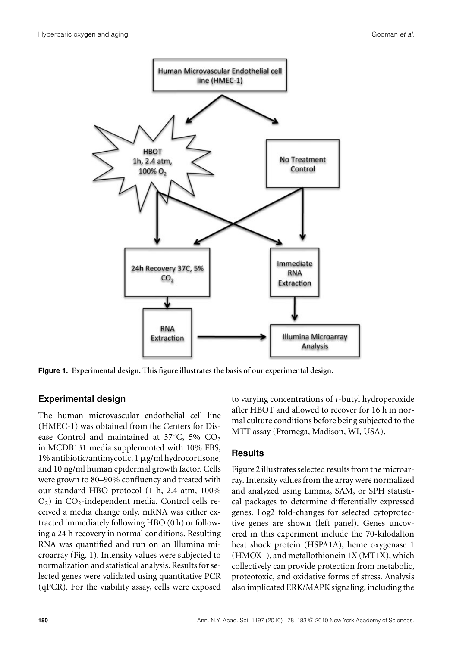

**Figure 1. Experimental design. This figure illustrates the basis of our experimental design.**

# **Experimental design**

The human microvascular endothelial cell line (HMEC-1) was obtained from the Centers for Disease Control and maintained at  $37^{\circ}$ C, 5% CO<sub>2</sub> in MCDB131 media supplemented with 10% FBS, 1% antibiotic/antimycotic, 1 µg/ml hydrocortisone, and 10 ng/ml human epidermal growth factor. Cells were grown to 80–90% confluency and treated with our standard HBO protocol (1 h, 2.4 atm, 100%  $O<sub>2</sub>$ ) in CO<sub>2</sub>-independent media. Control cells received a media change only. mRNA was either extracted immediately following HBO (0 h) or following a 24 h recovery in normal conditions. Resulting RNA was quantified and run on an Illumina microarray (Fig. 1). Intensity values were subjected to normalization and statistical analysis. Results for selected genes were validated using quantitative PCR (qPCR). For the viability assay, cells were exposed to varying concentrations of *t*-butyl hydroperoxide after HBOT and allowed to recover for 16 h in normal culture conditions before being subjected to the MTT assay (Promega, Madison, WI, USA).

# **Results**

Figure 2 illustrates selected results from the microarray. Intensity values from the array were normalized and analyzed using Limma, SAM, or SPH statistical packages to determine differentially expressed genes. Log2 fold-changes for selected cytoprotective genes are shown (left panel). Genes uncovered in this experiment include the 70-kilodalton heat shock protein (HSPA1A), heme oxygenase 1 (HMOX1), and metallothionein 1X (MT1X), which collectively can provide protection from metabolic, proteotoxic, and oxidative forms of stress. Analysis also implicated ERK/MAPK signaling, including the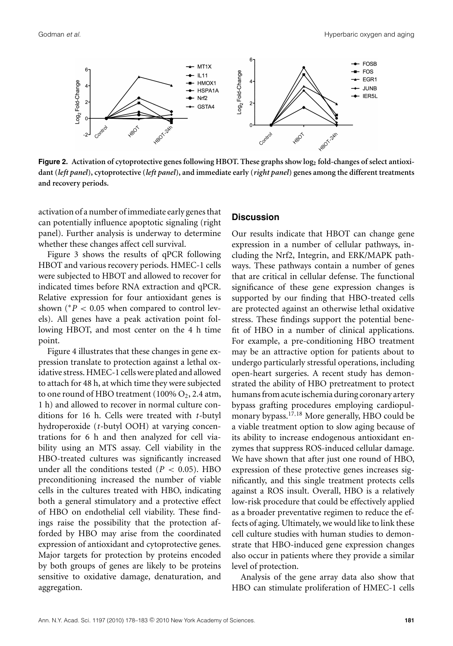

**Figure 2. Activation of cytoprotective genes following HBOT. These graphs show log<sup>2</sup> fold-changes of select antioxidant (***left panel***), cytoprotective (***left panel***), and immediate early (***right panel***) genes among the different treatments and recovery periods.**

activation of a number of immediate early genes that can potentially influence apoptotic signaling (right panel). Further analysis is underway to determine whether these changes affect cell survival.

Figure 3 shows the results of qPCR following HBOT and various recovery periods. HMEC-1 cells were subjected to HBOT and allowed to recover for indicated times before RNA extraction and qPCR. Relative expression for four antioxidant genes is shown ( $P < 0.05$  when compared to control levels). All genes have a peak activation point following HBOT, and most center on the 4 h time point.

Figure 4 illustrates that these changes in gene expression translate to protection against a lethal oxidative stress. HMEC-1 cells were plated and allowed to attach for 48 h, at which time they were subjected to one round of HBO treatment (100%  $O_2$ , 2.4 atm, 1 h) and allowed to recover in normal culture conditions for 16 h. Cells were treated with *t*-butyl hydroperoxide (*t*-butyl OOH) at varying concentrations for 6 h and then analyzed for cell viability using an MTS assay. Cell viability in the HBO-treated cultures was significantly increased under all the conditions tested  $(P < 0.05)$ . HBO preconditioning increased the number of viable cells in the cultures treated with HBO, indicating both a general stimulatory and a protective effect of HBO on endothelial cell viability. These findings raise the possibility that the protection afforded by HBO may arise from the coordinated expression of antioxidant and cytoprotective genes. Major targets for protection by proteins encoded by both groups of genes are likely to be proteins sensitive to oxidative damage, denaturation, and aggregation.

#### **Discussion**

Our results indicate that HBOT can change gene expression in a number of cellular pathways, including the Nrf2, Integrin, and ERK/MAPK pathways. These pathways contain a number of genes that are critical in cellular defense. The functional significance of these gene expression changes is supported by our finding that HBO-treated cells are protected against an otherwise lethal oxidative stress. These findings support the potential benefit of HBO in a number of clinical applications. For example, a pre-conditioning HBO treatment may be an attractive option for patients about to undergo particularly stressful operations, including open-heart surgeries. A recent study has demonstrated the ability of HBO pretreatment to protect humans from acute ischemia during coronary artery bypass grafting procedures employing cardiopulmonary bypass.<sup>17,18</sup> More generally, HBO could be a viable treatment option to slow aging because of its ability to increase endogenous antioxidant enzymes that suppress ROS-induced cellular damage. We have shown that after just one round of HBO, expression of these protective genes increases significantly, and this single treatment protects cells against a ROS insult. Overall, HBO is a relatively low-risk procedure that could be effectively applied as a broader preventative regimen to reduce the effects of aging. Ultimately, we would like to link these cell culture studies with human studies to demonstrate that HBO-induced gene expression changes also occur in patients where they provide a similar level of protection.

Analysis of the gene array data also show that HBO can stimulate proliferation of HMEC-1 cells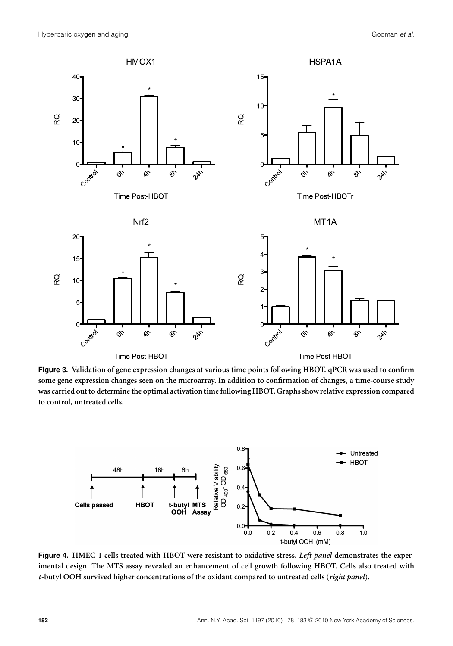

**Figure 3. Validation of gene expression changes at various time points following HBOT. qPCR was used to confirm some gene expression changes seen on the microarray. In addition to confirmation of changes, a time-course study was carried out to determine the optimal activation time following HBOT. Graphs show relative expression compared to control, untreated cells.**



**Figure 4. HMEC-1 cells treated with HBOT were resistant to oxidative stress.** *Left panel* **demonstrates the experimental design. The MTS assay revealed an enhancement of cell growth following HBOT. Cells also treated with** *t***-butyl OOH survived higher concentrations of the oxidant compared to untreated cells (***right panel***).**